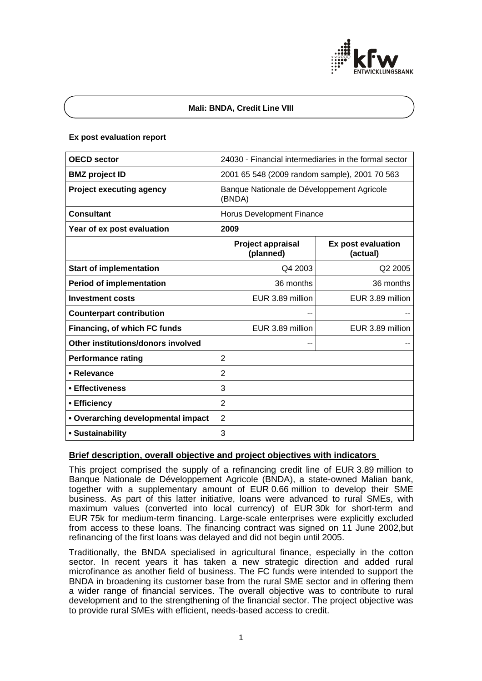

## **Mali: BNDA, Credit Line VIII**

## **Ex post evaluation report**

| <b>OECD sector</b>                 | 24030 - Financial intermediaries in the formal sector |                                |
|------------------------------------|-------------------------------------------------------|--------------------------------|
| <b>BMZ</b> project ID              | 2001 65 548 (2009 random sample), 2001 70 563         |                                |
| <b>Project executing agency</b>    | Banque Nationale de Développement Agricole<br>(BNDA)  |                                |
| <b>Consultant</b>                  | Horus Development Finance                             |                                |
| Year of ex post evaluation         | 2009                                                  |                                |
|                                    | Project appraisal<br>(planned)                        | Ex post evaluation<br>(actual) |
| <b>Start of implementation</b>     | Q4 2003                                               | Q2 2005                        |
| <b>Period of implementation</b>    | 36 months                                             | 36 months                      |
| <b>Investment costs</b>            | EUR 3.89 million                                      | EUR 3.89 million               |
| <b>Counterpart contribution</b>    | --                                                    |                                |
| Financing, of which FC funds       | EUR 3.89 million                                      | EUR 3.89 million               |
| Other institutions/donors involved | --                                                    |                                |
| <b>Performance rating</b>          | $\overline{2}$                                        |                                |
| • Relevance                        | 2                                                     |                                |
| • Effectiveness                    | 3                                                     |                                |
| • Efficiency                       | 2                                                     |                                |
| • Overarching developmental impact | $\overline{2}$                                        |                                |
| • Sustainability                   | 3                                                     |                                |

# **Brief description, overall objective and project objectives with indicators**

This project comprised the supply of a refinancing credit line of EUR 3.89 million to Banque Nationale de Développement Agricole (BNDA), a state-owned Malian bank, together with a supplementary amount of EUR 0.66 million to develop their SME business. As part of this latter initiative, loans were advanced to rural SMEs, with maximum values (converted into local currency) of EUR 30k for short-term and EUR 75k for medium-term financing. Large-scale enterprises were explicitly excluded from access to these loans. The financing contract was signed on 11 June 2002,but refinancing of the first loans was delayed and did not begin until 2005.

Traditionally, the BNDA specialised in agricultural finance, especially in the cotton sector. In recent years it has taken a new strategic direction and added rural microfinance as another field of business. The FC funds were intended to support the BNDA in broadening its customer base from the rural SME sector and in offering them a wider range of financial services. The overall objective was to contribute to rural development and to the strengthening of the financial sector. The project objective was to provide rural SMEs with efficient, needs-based access to credit.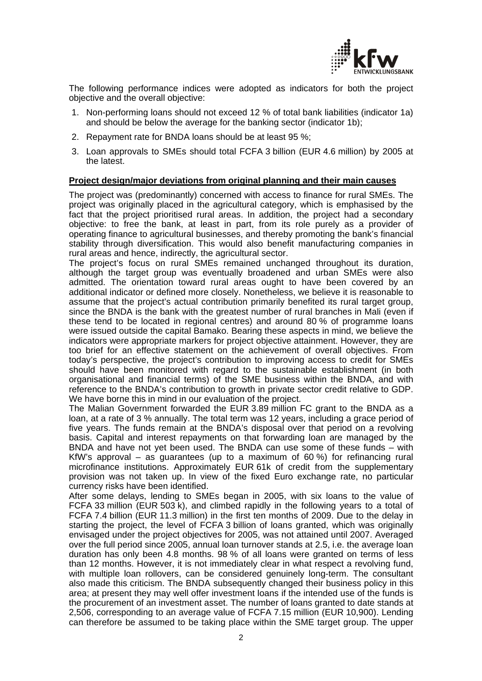

The following performance indices were adopted as indicators for both the project objective and the overall objective:

- 1. Non-performing loans should not exceed 12 % of total bank liabilities (indicator 1a) and should be below the average for the banking sector (indicator 1b);
- 2. Repayment rate for BNDA loans should be at least 95 %;
- 3. Loan approvals to SMEs should total FCFA 3 billion (EUR 4.6 million) by 2005 at the latest.

## **Project design/major deviations from original planning and their main causes**

The project was (predominantly) concerned with access to finance for rural SMEs. The project was originally placed in the agricultural category, which is emphasised by the fact that the project prioritised rural areas. In addition, the project had a secondary objective: to free the bank, at least in part, from its role purely as a provider of operating finance to agricultural businesses, and thereby promoting the bank's financial stability through diversification. This would also benefit manufacturing companies in rural areas and hence, indirectly, the agricultural sector.

The project's focus on rural SMEs remained unchanged throughout its duration, although the target group was eventually broadened and urban SMEs were also admitted. The orientation toward rural areas ought to have been covered by an additional indicator or defined more closely. Nonetheless, we believe it is reasonable to assume that the project's actual contribution primarily benefited its rural target group, since the BNDA is the bank with the greatest number of rural branches in Mali (even if these tend to be located in regional centres) and around 80 % of programme loans were issued outside the capital Bamako. Bearing these aspects in mind, we believe the indicators were appropriate markers for project objective attainment. However, they are too brief for an effective statement on the achievement of overall objectives. From today's perspective, the project's contribution to improving access to credit for SMEs should have been monitored with regard to the sustainable establishment (in both organisational and financial terms) of the SME business within the BNDA, and with reference to the BNDA's contribution to growth in private sector credit relative to GDP. We have borne this in mind in our evaluation of the project.

The Malian Government forwarded the EUR 3.89 million FC grant to the BNDA as a loan, at a rate of 3 % annually. The total term was 12 years, including a grace period of five years. The funds remain at the BNDA's disposal over that period on a revolving basis. Capital and interest repayments on that forwarding loan are managed by the BNDA and have not yet been used. The BNDA can use some of these funds – with KfW's approval – as guarantees (up to a maximum of 60 %) for refinancing rural microfinance institutions. Approximately EUR 61k of credit from the supplementary provision was not taken up. In view of the fixed Euro exchange rate, no particular currency risks have been identified.

After some delays, lending to SMEs began in 2005, with six loans to the value of FCFA 33 million (EUR 503 k), and climbed rapidly in the following years to a total of FCFA 7.4 billion (EUR 11.3 million) in the first ten months of 2009. Due to the delay in starting the project, the level of FCFA 3 billion of loans granted, which was originally envisaged under the project objectives for 2005, was not attained until 2007. Averaged over the full period since 2005, annual loan turnover stands at 2.5, i.e. the average loan duration has only been 4.8 months. 98 % of all loans were granted on terms of less than 12 months. However, it is not immediately clear in what respect a revolving fund, with multiple loan rollovers, can be considered genuinely long-term. The consultant also made this criticism. The BNDA subsequently changed their business policy in this area; at present they may well offer investment loans if the intended use of the funds is the procurement of an investment asset. The number of loans granted to date stands at 2,506, corresponding to an average value of FCFA 7.15 million (EUR 10,900). Lending can therefore be assumed to be taking place within the SME target group. The upper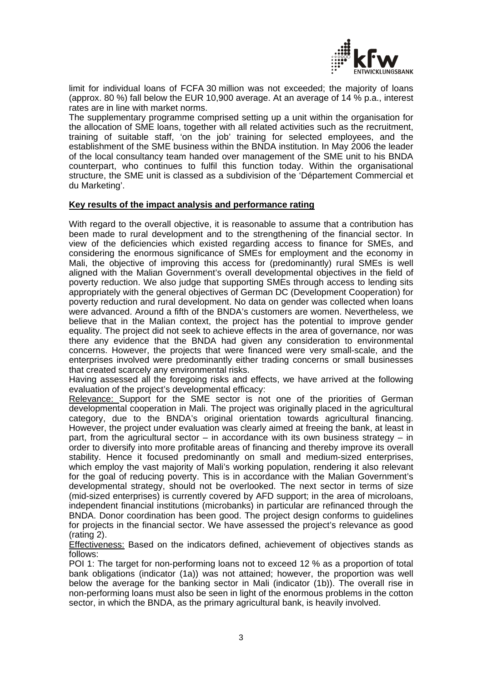

limit for individual loans of FCFA 30 million was not exceeded; the majority of loans (approx. 80 %) fall below the EUR 10,900 average. At an average of 14 % p.a., interest rates are in line with market norms.

The supplementary programme comprised setting up a unit within the organisation for the allocation of SME loans, together with all related activities such as the recruitment, training of suitable staff, 'on the job' training for selected employees, and the establishment of the SME business within the BNDA institution. In May 2006 the leader of the local consultancy team handed over management of the SME unit to his BNDA counterpart, who continues to fulfil this function today. Within the organisational structure, the SME unit is classed as a subdivision of the 'Département Commercial et du Marketing'.

## **Key results of the impact analysis and performance rating**

With regard to the overall objective, it is reasonable to assume that a contribution has been made to rural development and to the strengthening of the financial sector. In view of the deficiencies which existed regarding access to finance for SMEs, and considering the enormous significance of SMEs for employment and the economy in Mali, the objective of improving this access for (predominantly) rural SMEs is well aligned with the Malian Government's overall developmental objectives in the field of poverty reduction. We also judge that supporting SMEs through access to lending sits appropriately with the general objectives of German DC (Development Cooperation) for poverty reduction and rural development. No data on gender was collected when loans were advanced. Around a fifth of the BNDA's customers are women. Nevertheless, we believe that in the Malian context, the project has the potential to improve gender equality. The project did not seek to achieve effects in the area of governance, nor was there any evidence that the BNDA had given any consideration to environmental concerns. However, the projects that were financed were very small-scale, and the enterprises involved were predominantly either trading concerns or small businesses that created scarcely any environmental risks.

Having assessed all the foregoing risks and effects, we have arrived at the following evaluation of the project's developmental efficacy:

Relevance: Support for the SME sector is not one of the priorities of German developmental cooperation in Mali. The project was originally placed in the agricultural category, due to the BNDA's original orientation towards agricultural financing. However, the project under evaluation was clearly aimed at freeing the bank, at least in part, from the agricultural sector – in accordance with its own business strategy – in order to diversify into more profitable areas of financing and thereby improve its overall stability. Hence it focused predominantly on small and medium-sized enterprises, which employ the vast majority of Mali's working population, rendering it also relevant for the goal of reducing poverty. This is in accordance with the Malian Government's developmental strategy, should not be overlooked. The next sector in terms of size (mid-sized enterprises) is currently covered by AFD support; in the area of microloans, independent financial institutions (microbanks) in particular are refinanced through the BNDA. Donor coordination has been good. The project design conforms to guidelines for projects in the financial sector. We have assessed the project's relevance as good (rating 2).

Effectiveness: Based on the indicators defined, achievement of objectives stands as follows:

POI 1: The target for non-performing loans not to exceed 12 % as a proportion of total bank obligations (indicator (1a)) was not attained; however, the proportion was well below the average for the banking sector in Mali (indicator (1b)). The overall rise in non-performing loans must also be seen in light of the enormous problems in the cotton sector, in which the BNDA, as the primary agricultural bank, is heavily involved.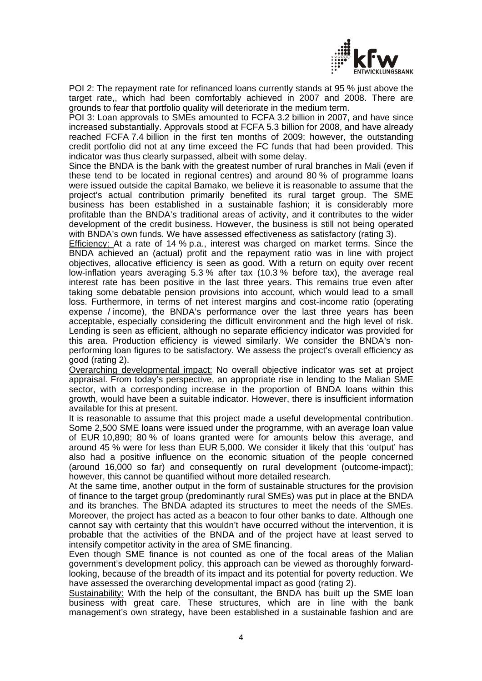

POI 2: The repayment rate for refinanced loans currently stands at 95 % just above the target rate,, which had been comfortably achieved in 2007 and 2008. There are grounds to fear that portfolio quality will deteriorate in the medium term.

POI 3: Loan approvals to SMEs amounted to FCFA 3.2 billion in 2007, and have since increased substantially. Approvals stood at FCFA 5.3 billion for 2008, and have already reached FCFA 7.4 billion in the first ten months of 2009; however, the outstanding credit portfolio did not at any time exceed the FC funds that had been provided. This indicator was thus clearly surpassed, albeit with some delay.

Since the BNDA is the bank with the greatest number of rural branches in Mali (even if these tend to be located in regional centres) and around 80 % of programme loans were issued outside the capital Bamako, we believe it is reasonable to assume that the project's actual contribution primarily benefited its rural target group. The SME business has been established in a sustainable fashion; it is considerably more profitable than the BNDA's traditional areas of activity, and it contributes to the wider development of the credit business. However, the business is still not being operated with BNDA's own funds. We have assessed effectiveness as satisfactory (rating 3).

Efficiency: At a rate of 14 % p.a., interest was charged on market terms. Since the BNDA achieved an (actual) profit and the repayment ratio was in line with project objectives, allocative efficiency is seen as good. With a return on equity over recent low-inflation years averaging 5.3 % after tax (10.3 % before tax), the average real interest rate has been positive in the last three years. This remains true even after taking some debatable pension provisions into account, which would lead to a small loss. Furthermore, in terms of net interest margins and cost-income ratio (operating expense / income), the BNDA's performance over the last three years has been acceptable, especially considering the difficult environment and the high level of risk. Lending is seen as efficient, although no separate efficiency indicator was provided for this area. Production efficiency is viewed similarly. We consider the BNDA's nonperforming loan figures to be satisfactory. We assess the project's overall efficiency as good (rating 2).

Overarching developmental impact: No overall objective indicator was set at project appraisal. From today's perspective, an appropriate rise in lending to the Malian SME sector, with a corresponding increase in the proportion of BNDA loans within this growth, would have been a suitable indicator. However, there is insufficient information available for this at present.

It is reasonable to assume that this project made a useful developmental contribution. Some 2,500 SME loans were issued under the programme, with an average loan value of EUR 10,890; 80 % of loans granted were for amounts below this average, and around 45 % were for less than EUR 5,000. We consider it likely that this 'output' has also had a positive influence on the economic situation of the people concerned (around 16,000 so far) and consequently on rural development (outcome-impact); however, this cannot be quantified without more detailed research.

At the same time, another output in the form of sustainable structures for the provision of finance to the target group (predominantly rural SMEs) was put in place at the BNDA and its branches. The BNDA adapted its structures to meet the needs of the SMEs. Moreover, the project has acted as a beacon to four other banks to date. Although one cannot say with certainty that this wouldn't have occurred without the intervention, it is probable that the activities of the BNDA and of the project have at least served to intensify competitor activity in the area of SME financing.

Even though SME finance is not counted as one of the focal areas of the Malian government's development policy, this approach can be viewed as thoroughly forwardlooking, because of the breadth of its impact and its potential for poverty reduction. We have assessed the overarching developmental impact as good (rating 2).

Sustainability: With the help of the consultant, the BNDA has built up the SME loan business with great care. These structures, which are in line with the bank management's own strategy, have been established in a sustainable fashion and are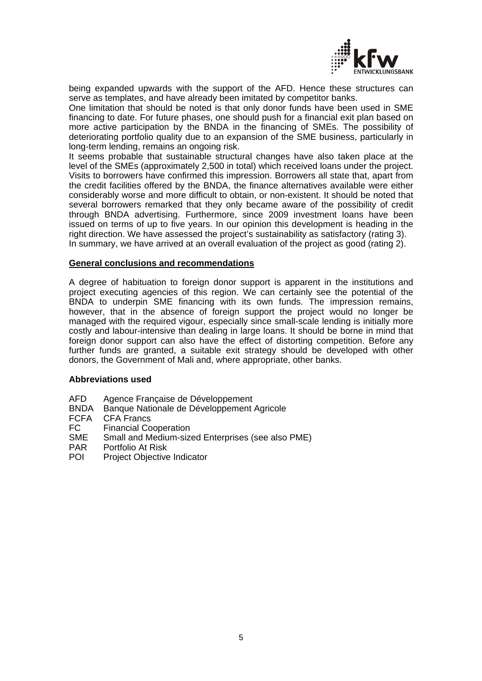

being expanded upwards with the support of the AFD. Hence these structures can serve as templates, and have already been imitated by competitor banks.

One limitation that should be noted is that only donor funds have been used in SME financing to date. For future phases, one should push for a financial exit plan based on more active participation by the BNDA in the financing of SMEs. The possibility of deteriorating portfolio quality due to an expansion of the SME business, particularly in long-term lending, remains an ongoing risk.

It seems probable that sustainable structural changes have also taken place at the level of the SMEs (approximately 2,500 in total) which received loans under the project. Visits to borrowers have confirmed this impression. Borrowers all state that, apart from the credit facilities offered by the BNDA, the finance alternatives available were either considerably worse and more difficult to obtain, or non-existent. It should be noted that several borrowers remarked that they only became aware of the possibility of credit through BNDA advertising. Furthermore, since 2009 investment loans have been issued on terms of up to five years. In our opinion this development is heading in the right direction. We have assessed the project's sustainability as satisfactory (rating 3). In summary, we have arrived at an overall evaluation of the project as good (rating 2).

#### **General conclusions and recommendations**

A degree of habituation to foreign donor support is apparent in the institutions and project executing agencies of this region. We can certainly see the potential of the BNDA to underpin SME financing with its own funds. The impression remains, however, that in the absence of foreign support the project would no longer be managed with the required vigour, especially since small-scale lending is initially more costly and labour-intensive than dealing in large loans. It should be borne in mind that foreign donor support can also have the effect of distorting competition. Before any further funds are granted, a suitable exit strategy should be developed with other donors, the Government of Mali and, where appropriate, other banks.

#### **Abbreviations used**

- AFD Agence Française de Développement
- BNDA Banque Nationale de Développement Agricole
- FCFA CFA Francs
- FC Financial Cooperation
- SME Small and Medium-sized Enterprises (see also PME)
- PAR Portfolio At Risk
- POI Project Objective Indicator